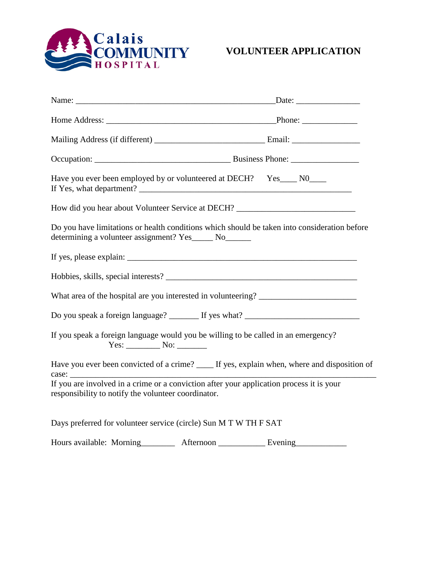

| Have you ever been employed by or volunteered at DECH? Yes____ N0____                                                                                 |  |
|-------------------------------------------------------------------------------------------------------------------------------------------------------|--|
| How did you hear about Volunteer Service at DECH? _______________________________                                                                     |  |
| Do you have limitations or health conditions which should be taken into consideration before<br>determining a volunteer assignment? Yes_____ No______ |  |
|                                                                                                                                                       |  |
| Hobbies, skills, special interests?                                                                                                                   |  |
| What area of the hospital are you interested in volunteering? ___________________                                                                     |  |
| Do you speak a foreign language? ________ If yes what? __________________________                                                                     |  |
| If you speak a foreign language would you be willing to be called in an emergency?                                                                    |  |
| Have you ever been convicted of a crime? _____ If yes, explain when, where and disposition of                                                         |  |
| If you are involved in a crime or a conviction after your application process it is your<br>responsibility to notify the volunteer coordinator.       |  |
| Days preferred for volunteer service (circle) Sun M T W TH F SAT                                                                                      |  |

Hours available: Morning Afternoon \_\_\_\_\_\_\_\_ Evening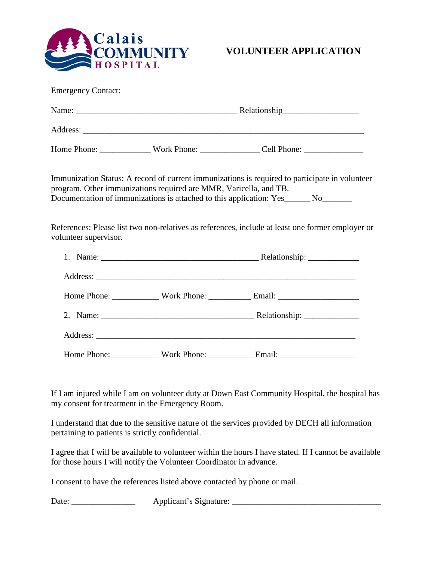

| <b>Emergency Contact:</b> |                                                                   |                                                                                                                                                                                                                                                                                          |  |  |
|---------------------------|-------------------------------------------------------------------|------------------------------------------------------------------------------------------------------------------------------------------------------------------------------------------------------------------------------------------------------------------------------------------|--|--|
|                           |                                                                   |                                                                                                                                                                                                                                                                                          |  |  |
|                           |                                                                   |                                                                                                                                                                                                                                                                                          |  |  |
|                           |                                                                   | Home Phone: ________________Work Phone: __________________Cell Phone: ______________________________                                                                                                                                                                                     |  |  |
|                           | program. Other immunizations required are MMR, Varicella, and TB. | Immunization Status: A record of current immunizations is required to participate in volunteer<br>Documentation of immunizations is attached to this application: Yes______ No______<br>References: Please list two non-relatives as references, include at least one former employer or |  |  |
| volunteer supervisor.     |                                                                   |                                                                                                                                                                                                                                                                                          |  |  |
|                           |                                                                   |                                                                                                                                                                                                                                                                                          |  |  |
|                           |                                                                   |                                                                                                                                                                                                                                                                                          |  |  |
|                           |                                                                   |                                                                                                                                                                                                                                                                                          |  |  |
|                           |                                                                   |                                                                                                                                                                                                                                                                                          |  |  |
|                           |                                                                   |                                                                                                                                                                                                                                                                                          |  |  |

If I am injured while I am on volunteer duty at Down East Community Hospital, the hospital has my consent for treatment in the Emergency Room.

I understand that due to the sensitive nature of the services provided by DECH all information pertaining to patients is strictly confidential.

I agree that I will be available to volunteer within the hours I have stated. If I cannot be available for those hours I will notify the Volunteer Coordinator in advance.

I consent to have the references listed above contacted by phone or mail.

Date: \_\_\_\_\_\_\_\_\_\_\_\_\_\_\_ Applicant's Signature: \_\_\_\_\_\_\_\_\_\_\_\_\_\_\_\_\_\_\_\_\_\_\_\_\_\_\_\_\_\_\_\_\_\_\_